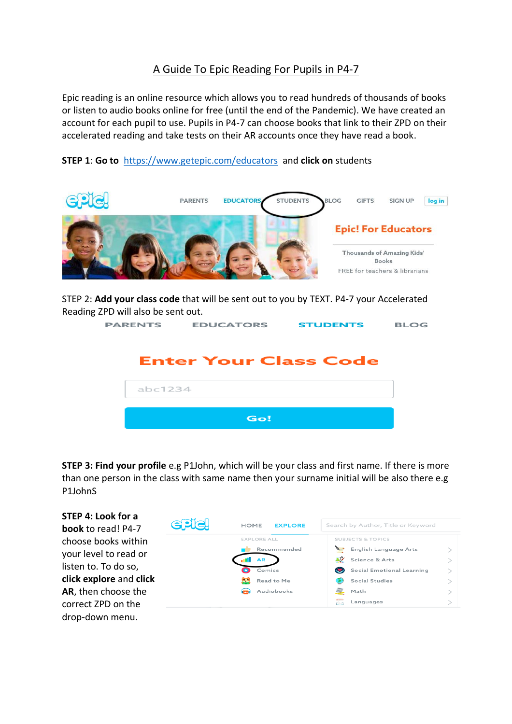## A Guide To Epic Reading For Pupils in P4-7

Epic reading is an online resource which allows you to read hundreds of thousands of books or listen to audio books online for free (until the end of the Pandemic). We have created an account for each pupil to use. Pupils in P4-7 can choose books that link to their ZPD on their accelerated reading and take tests on their AR accounts once they have read a book.

**STEP 1**: **Go to** <https://www.getepic.com/educators> and **click on** students



STEP 2: **Add your class code** that will be sent out to you by TEXT. P4-7 your Accelerated Reading ZPD will also be sent out.

| PARENTS | <b>EDUCATORS</b>             | <b>STUDENTS</b> | <b>BLOG</b> |
|---------|------------------------------|-----------------|-------------|
|         | <b>Enter Your Class Code</b> |                 |             |
| abc1234 |                              |                 |             |
|         | Go!                          |                 |             |

**STEP 3: Find your profile** e.g P1John, which will be your class and first name. If there is more than one person in the class with same name then your surname initial will be also there e.g P1JohnS

| STEP 4: Look for a<br><b>book</b> to read! P4-7 | <b>SPIC!</b><br><b>EXPLORE</b><br><b>HOME</b> |                    | Search by Author, Title or Keyword |  |
|-------------------------------------------------|-----------------------------------------------|--------------------|------------------------------------|--|
| choose books within                             |                                               | <b>EXPLORE ALL</b> | <b>SUBJECTS &amp; TOPICS</b>       |  |
|                                                 |                                               | Recommended        | English Language Arts              |  |
| your level to read or                           |                                               | <b>AR</b>          | $\lambda$<br>Science & Arts        |  |
| listen to. To do so,                            |                                               | Comics             | Social Emotional Learning          |  |
| click explore and click                         |                                               | يويا<br>Read to Me | Social Studies                     |  |
| AR, then choose the                             |                                               | Audiobooks         | HER.<br>Math                       |  |
| correct ZPD on the                              |                                               |                    | Languages<br>F <sub>1</sub>        |  |
| drop-down menu.                                 |                                               |                    |                                    |  |